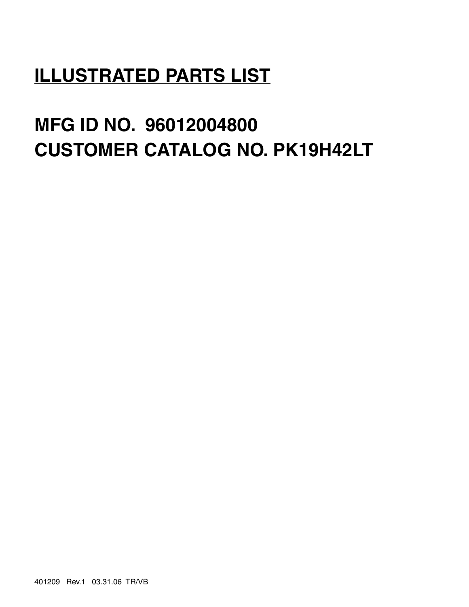## **ILLUSTRATED PARTS LIST**

# **MFG ID NO. 96012004800 CUSTOMER CATALOG NO. PK19H42LT**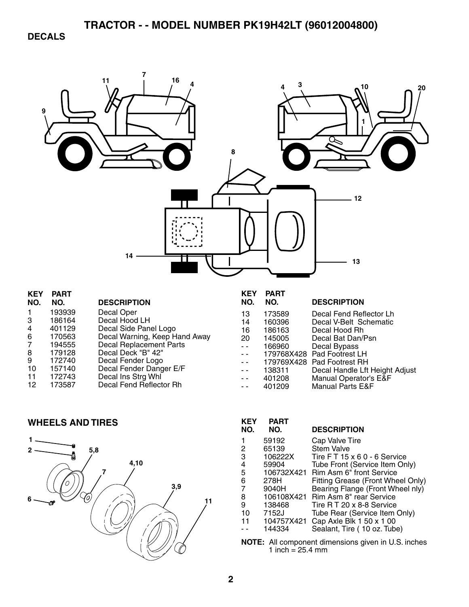**DECALS** 



| n.             | <u>гапі</u> |                               |
|----------------|-------------|-------------------------------|
| NO.            | NO.         | <b>DESCRIPTION</b>            |
|                | 193939      | Decal Oper                    |
| 3              | 186164      | Decal Hood LH                 |
| 4              | 401129      | Decal Side Panel Logo         |
| 6              | 170563      | Decal Warning, Keep Hand Away |
| $\overline{7}$ | 194555      | Decal Replacement Parts       |
| 8              | 179128      | Decal Deck "B" 42"            |
| 9              | 172740      | Decal Fender Logo             |
| 10             | 157140      | Decal Fender Danger E/F       |
| 11             | 172743      | Decal Ins Strg Whl            |
| 12             | 173587      | Decal Fend Reflector Rh       |
|                |             |                               |

| NO. | NO.    | <b>DESCRIPTION</b>             |
|-----|--------|--------------------------------|
| 13  | 173589 | Decal Fend Reflector Lh        |
| 14  | 160396 | Decal V-Belt Schematic         |
| 16  | 186163 | Decal Hood Rh                  |
| 20  | 145005 | Decal Bat Dan/Psn              |
| L.  | 166960 | Decal Bypass                   |
|     |        | 179768X428 Pad Footrest LH     |
|     |        | 179769X428 Pad Footrest RH     |
|     | 138311 | Decal Handle Lft Height Adjust |
|     | 401208 | Manual Operator's E&F          |
|     | 401209 | <b>Manual Parts E&amp;F</b>    |

### **WHEELS AND TIRES**



| KEY<br>NO. | PART<br>NO. | <b>DESCRIPTION</b>                                                                                |
|------------|-------------|---------------------------------------------------------------------------------------------------|
| 1          | 59192       | Cap Valve Tire                                                                                    |
| 2          | 65139       | <b>Stem Valve</b>                                                                                 |
| 3          | 106222X     | Tire FT 15 x 6 0 - 6 Service                                                                      |
| 4          | 59904       | Tube Front (Service Item Only)                                                                    |
| 5          |             | 106732X421 Rim Asm 6" front Service                                                               |
| 6          | 278H        | Fitting Grease (Front Wheel Only)                                                                 |
| 7          | 9040H       | Bearing Flange (Front Wheel nly)                                                                  |
| 8          | 106108X421  | Rim Asm 8" rear Service                                                                           |
| 9          | 138468      | Tire R T 20 x 8-8 Service                                                                         |
| 10         | 7152J       | Tube Rear (Service Item Only)                                                                     |
| 11         | 104757X421  | Cap Axle Blk 1 50 x 1 00                                                                          |
|            | 144334      | Sealant, Tire (10 oz. Tube)                                                                       |
|            |             | All the contract of the contract of the contract $\bigcap_{i=1}^n A_i$ . If $\bigcap_{i=1}^n A_i$ |

**NOTE:** All component dimensions given in U.S. inches 1 inch = 25.4 mm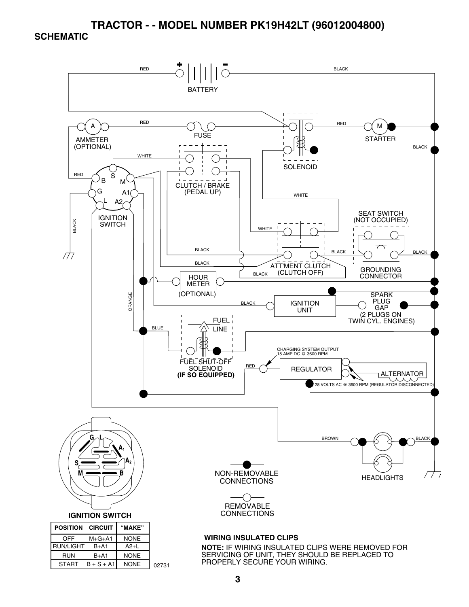#### **SCHEMATIC**



START  $\vert B + S + A1 \vert$ NONE 02731

PROPERLY SECURE YOUR WIRING.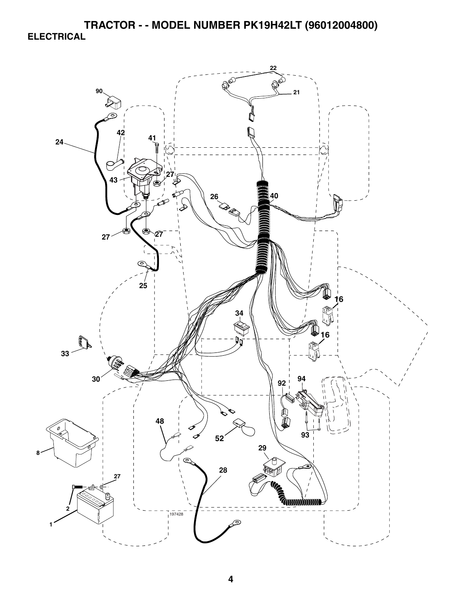**TRACTOR - - MODEL NUMBER PK19H42LT (96012004800) ELECTRICAL** 

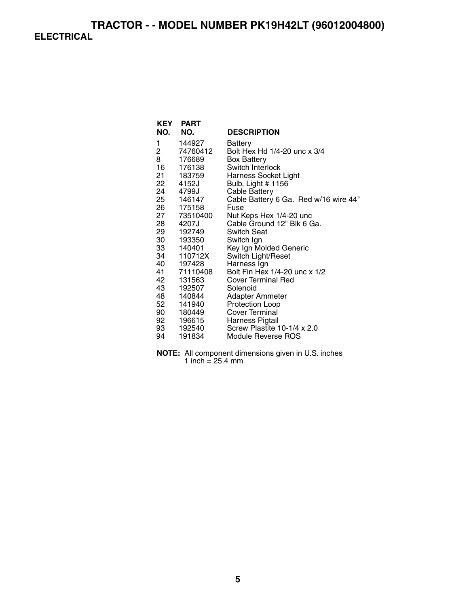## **TRACTOR - - MODEL NUMBER PK19H42LT (96012004800) ELECTRICAL**

| <b>KEY</b> | <b>PART</b> |                                       |
|------------|-------------|---------------------------------------|
| NO.        | NO.         | <b>DESCRIPTION</b>                    |
| 1          | 144927      | Battery                               |
| 2          | 74760412    | Bolt Hex Hd 1/4-20 unc x 3/4          |
| 8          | 176689      | <b>Box Battery</b>                    |
| 16         | 176138      | Switch Interlock                      |
|            | 21 183759   | <b>Harness Socket Light</b>           |
| 22         | 4152J       | Bulb, Light # 1156                    |
| 24         | 4799J       | <b>Cable Battery</b>                  |
|            | 25 146147   | Cable Battery 6 Ga. Red w/16 wire 44" |
| 26         | 175158      | Fuse                                  |
| 27         | 73510400    | Nut Keps Hex 1/4-20 unc               |
|            | 28 4207J    | Cable Ground 12" Blk 6 Ga.            |
| 29         | 192749      | <b>Switch Seat</b>                    |
| 30 —       | 193350      | Switch Ign                            |
|            | 33 140401   | Key Ign Molded Generic                |
| 34         | 110712X     | Switch Light/Reset                    |
|            | 40 197428   | Harness Ign                           |
|            | 41 71110408 | Bolt Fin Hex 1/4-20 unc x 1/2         |
| 42         | 131563      | <b>Cover Terminal Red</b>             |
| 43         | 192507      | Solenoid                              |
|            | 48 140844   | Adapter Ammeter                       |
| 52         | 141940      | Protection Loop                       |
| 90 —       | 180449      | Cover Terminal                        |
|            | 92 196615   | Harness Pigtail                       |
| 93         | 192540      | Screw Plastite 10-1/4 x 2.0           |
| 94         | 191834      | Module Reverse ROS                    |

**NOTE:** All component dimensions given in U.S. inches 1 inch  $= 25.4$  mm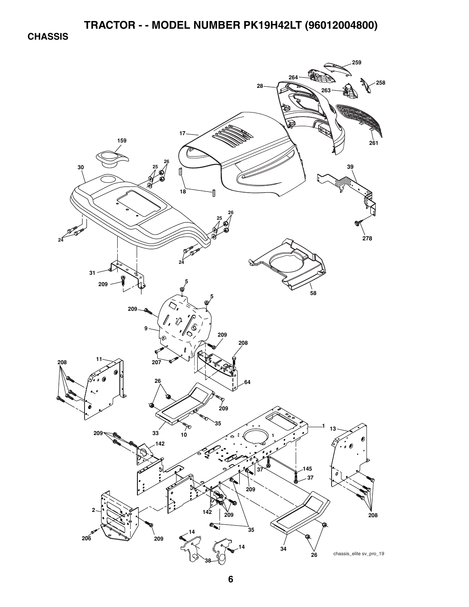**CHASSIS** 

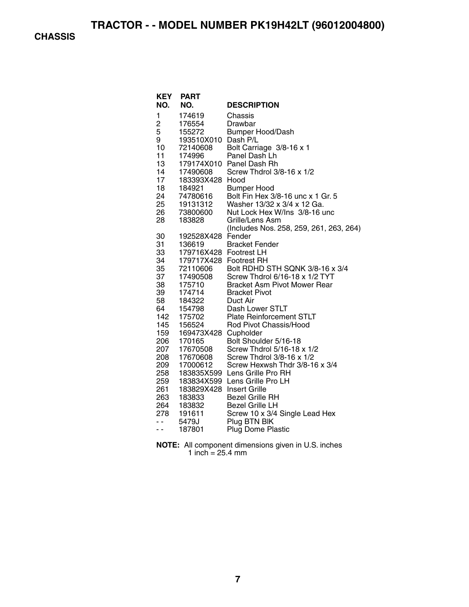**CHASSIS** 

| <b>KEY</b><br>NO. | <b>PART</b><br>NO.     | <b>DESCRIPTION</b>                      |
|-------------------|------------------------|-----------------------------------------|
| 1                 | 174619                 | Chassis                                 |
| 2                 | 176554                 | Drawbar                                 |
| 5                 | 155272                 | <b>Bumper Hood/Dash</b>                 |
| 9                 | 193510X010 Dash P/L    |                                         |
| 10                | 72140608               | Bolt Carriage 3/8-16 x 1                |
| 11                | 174996                 | Panel Dash Lh                           |
| 13                |                        | 179174X010 Panel Dash Rh                |
| 14                | 17490608               | Screw Thdrol 3/8-16 x 1/2               |
| 17                | 183393X428             | Hood                                    |
| 18                | 184921                 | <b>Bumper Hood</b>                      |
| 24                | 74780616               | Bolt Fin Hex 3/8-16 unc x 1 Gr. 5       |
| 25                | 19131312               | Washer 13/32 x 3/4 x 12 Ga.             |
| 26                | 73800600               | Nut Lock Hex W/Ins 3/8-16 unc           |
| 28                | 183828                 | Grille/Lens Asm                         |
|                   |                        | (Includes Nos. 258, 259, 261, 263, 264) |
| 30                | 192528X428 Fender      |                                         |
| 31                | 136619                 | <b>Bracket Fender</b>                   |
| 33                | 179716X428 Footrest LH |                                         |
| 34                | 179717X428 Footrest RH |                                         |
| 35                | 72110606               | Bolt RDHD STH SQNK 3/8-16 x 3/4         |
| 37                | 17490508               | Screw Thdrol 6/16-18 x 1/2 TYT          |
| 38                | 175710                 | <b>Bracket Asm Pivot Mower Rear</b>     |
| 39                | 174714                 | <b>Bracket Pivot</b>                    |
| 58                | 184322                 | Duct Air                                |
| 64                | 154798                 | Dash Lower STLT                         |
| 142               | 175702                 | <b>Plate Reinforcement STLT</b>         |
| 145               | 156524                 | Rod Pivot Chassis/Hood                  |
| 159               | 169473X428 Cupholder   |                                         |
| 206               | 170165                 | Bolt Shoulder 5/16-18                   |
| 207               | 17670508               | Screw Thdrol 5/16-18 x 1/2              |
| 208               | 17670608               | Screw Thdrol 3/8-16 x 1/2               |
| 209               | 17000612               | Screw Hexwsh Thdr 3/8-16 x 3/4          |
| 258               |                        | 183835X599 Lens Grille Pro RH           |
| 259               | 183834X599             | Lens Grille Pro LH                      |
| 261               | 183829X428             | <b>Insert Grille</b>                    |
| 263               | 183833                 | <b>Bezel Grille RH</b>                  |
| 264               | 183832                 | <b>Bezel Grille LH</b>                  |
| 278               | 191611                 | Screw 10 x 3/4 Single Lead Hex          |
| ۰.                | 5479J                  | Plug BTN BIK                            |
| ۰.                | 187801                 | <b>Plug Dome Plastic</b>                |

| <b>NOTE:</b> All component dimensions given in U.S. inches |
|------------------------------------------------------------|
| 1 inch = $25.4 \text{ mm}$                                 |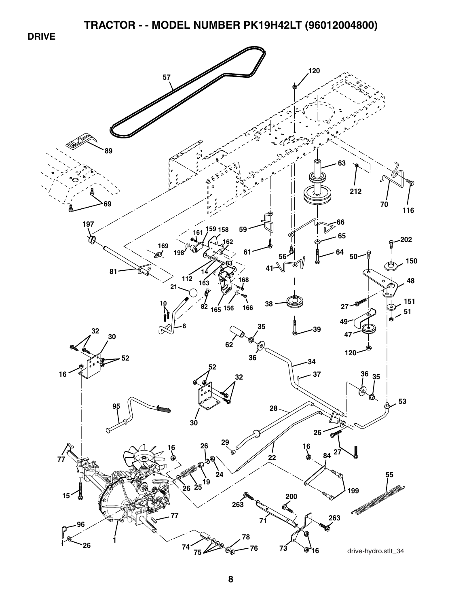**DRIVE** 

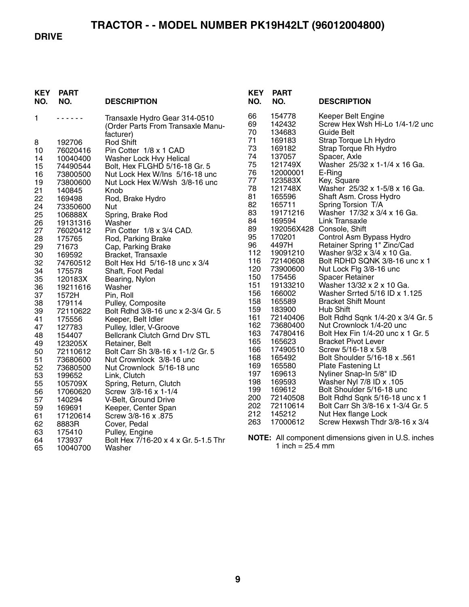#### **DRIVE**

| <b>KEY</b><br>NO. | <b>PART</b><br>NO. | <b>DESCRIPTION</b>                                                              | <b>KEY</b><br>NO. | <b>PART</b><br>NO.         | <b>DESCRIPTION</b>                                                         |
|-------------------|--------------------|---------------------------------------------------------------------------------|-------------------|----------------------------|----------------------------------------------------------------------------|
| 1                 | .                  | Transaxle Hydro Gear 314-0510<br>(Order Parts From Transaxle Manu-<br>facturer) | 66<br>69<br>70    | 154778<br>142432<br>134683 | Keeper Belt Engine<br>Screw Hex Wsh Hi-Lo 1/4-1/2 unc<br><b>Guide Belt</b> |
| 8                 | 192706             | <b>Rod Shift</b>                                                                | 71                | 169183                     | Strap Torque Lh Hydro                                                      |
| 10                | 76020416           | Pin Cotter 1/8 x 1 CAD                                                          | 73                | 169182                     | Strap Torque Rh Hydro                                                      |
| 14                | 10040400           | Washer Lock Hvy Helical                                                         | 74                | 137057                     | Spacer, Axle                                                               |
| 15                | 74490544           | Bolt, Hex FLGHD 5/16-18 Gr. 5                                                   | 75                | 121749X                    | Washer 25/32 x 1-1/4 x 16 Ga.                                              |
| 16                | 73800500           | Nut Lock Hex W/Ins 5/16-18 unc                                                  | 76                | 12000001                   | E-Ring                                                                     |
| 19                | 73800600           | Nut Lock Hex W/Wsh 3/8-16 unc                                                   | 77                | 123583X                    | Key, Square                                                                |
| 21                | 140845             | Knob                                                                            | 78                | 121748X                    | Washer 25/32 x 1-5/8 x 16 Ga.                                              |
| 22                | 169498             | Rod, Brake Hydro                                                                | 81                | 165596                     | Shaft Asm. Cross Hydro                                                     |
| 24                | 73350600           | Nut                                                                             | 82                | 165711                     | Spring Torsion T/A                                                         |
| 25                | 106888X            | Spring, Brake Rod                                                               | 83                | 19171216                   | Washer 17/32 x 3/4 x 16 Ga.                                                |
| 26                | 19131316           | Washer                                                                          | 84                | 169594                     | Link Transaxle                                                             |
| 27                | 76020412           | Pin Cotter 1/8 x 3/4 CAD.                                                       | 89                |                            | 192056X428 Console, Shift                                                  |
| 28                | 175765             | Rod, Parking Brake                                                              | 95                | 170201                     | Control Asm Bypass Hydro                                                   |
| 29                | 71673              | Cap, Parking Brake                                                              | 96                | 4497H                      | Retainer Spring 1" Zinc/Cad                                                |
| 30                | 169592             | Bracket, Transaxle                                                              | 112               | 19091210                   | Washer 9/32 x 3/4 x 10 Ga.                                                 |
| 32                | 74760512           | Bolt Hex Hd 5/16-18 unc x 3/4                                                   | 116               | 72140608                   | Bolt RDHD SQNK 3/8-16 unc x 1                                              |
| 34                | 175578             | Shaft, Foot Pedal                                                               | 120               | 73900600                   | Nut Lock Flg 3/8-16 unc                                                    |
| 35                | 120183X            | Bearing, Nylon                                                                  | 150               | 175456                     | <b>Spacer Retainer</b>                                                     |
| 36                | 19211616           | Washer                                                                          | 151               | 19133210                   | Washer 13/32 x 2 x 10 Ga.                                                  |
| 37                | 1572H              | Pin, Roll                                                                       | 156               | 166002                     | Washer Srrted 5/16 ID x 1.125                                              |
| 38                | 179114             | Pulley, Composite                                                               | 158               | 165589                     | <b>Bracket Shift Mount</b>                                                 |
| 39                | 72110622           | Bolt Rdhd 3/8-16 unc x 2-3/4 Gr. 5                                              | 159               | 183900                     | Hub Shift                                                                  |
| 41                | 175556             | Keeper, Belt Idler                                                              | 161               | 72140406                   | Bolt Rdhd Sqnk 1/4-20 x 3/4 Gr. 5                                          |
| 47                | 127783             | Pulley, Idler, V-Groove                                                         | 162               | 73680400                   | Nut Crownlock 1/4-20 unc                                                   |
| 48                | 154407             | <b>Bellcrank Clutch Grnd Drv STL</b>                                            | 163               | 74780416                   | Bolt Hex Fin 1/4-20 unc x 1 Gr. 5                                          |
| 49                | 123205X            | Retainer, Belt                                                                  | 165               | 165623                     | <b>Bracket Pivot Lever</b>                                                 |
| 50                | 72110612           | Bolt Carr Sh 3/8-16 x 1-1/2 Gr. 5                                               | 166               | 17490510                   | Screw 5/16-18 x 5/8                                                        |
| 51                | 73680600           | Nut Crownlock 3/8-16 unc                                                        | 168               | 165492                     | Bolt Shoulder 5/16-18 x .561                                               |
| 52                | 73680500           | Nut Crownlock 5/16-18 unc                                                       | 169               | 165580                     | Plate Fastening Lt                                                         |
| 53                | 199652             | Link, Clutch                                                                    | 197               | 169613                     | Nyliner Snap-In 5/8" ID                                                    |
| 55                | 105709X            | Spring, Return, Clutch                                                          | 198               | 169593                     | Washer Nyl 7/8 ID x .105                                                   |
| 56                | 17060620           | Screw 3/8-16 x 1-1/4                                                            | 199               | 169612                     | Bolt Shoulder 5/16-18 unc                                                  |
| 57                | 140294             | V-Belt, Ground Drive                                                            | 200               | 72140508                   | Bolt Rdhd Sqnk 5/16-18 unc x 1                                             |
| 59                | 169691             | Keeper, Center Span                                                             | 202               | 72110614                   | Bolt Carr Sh 3/8-16 x 1-3/4 Gr. 5                                          |
| 61                | 17120614           | Screw 3/8-16 x .875                                                             | 212               | 145212                     | Nut Hex flange Lock                                                        |
| 62                | 8883R              | Cover, Pedal                                                                    | 263               | 17000612                   | Screw Hexwsh Thdr 3/8-16 x 3/4                                             |
| 63                | 175410             | Pulley, Engine                                                                  |                   |                            |                                                                            |
| 64                | 173937             | Bolt Hex 7/16-20 x 4 x Gr. 5-1.5 Thr                                            |                   |                            | NOTE: All component dimensions given in U.S. inches                        |
| 65                | 10040700           | Washer                                                                          |                   | 1 inch = $25.4$ mm         |                                                                            |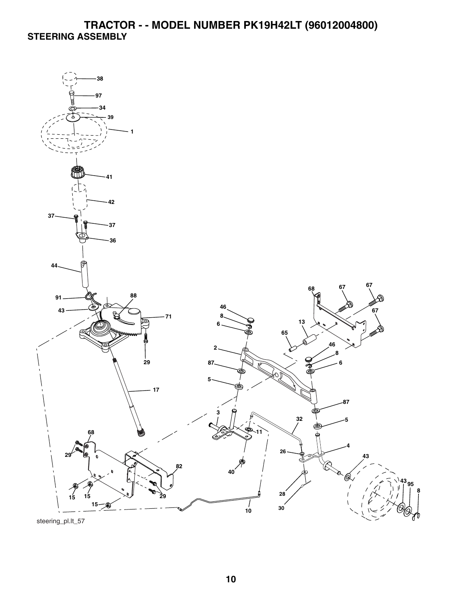## **TRACTOR - - MODEL NUMBER PK19H42LT (96012004800) STEERING ASSEMBLY**



steering\_pl.lt\_57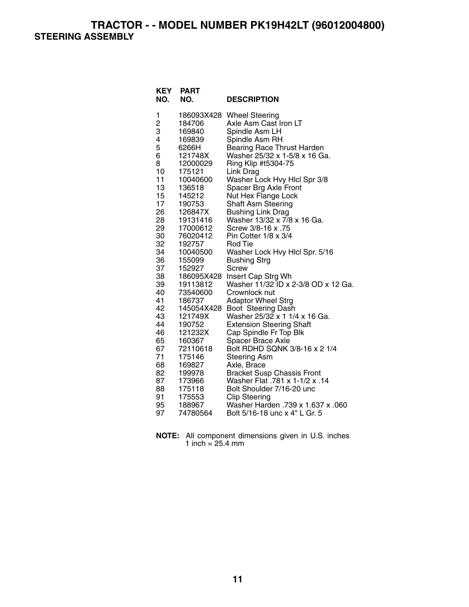**TRACTOR - - MODEL NUMBER PK19H42LT (96012004800) STEERING ASSEMBLY** 

| <b>KEY</b><br>NO. | <b>PART</b><br>NO. | <b>DESCRIPTION</b>                                           |
|-------------------|--------------------|--------------------------------------------------------------|
| 1                 | 186093X428         | <b>Wheel Steering</b>                                        |
| 2<br>3            | 184706             | Axle Asm Cast Iron LT                                        |
|                   | 169840             | Spindle Asm LH                                               |
| 4                 | 169839             | Spindle Asm RH                                               |
| 5                 | 6266H              | Bearing Race Thrust Harden                                   |
| 6                 | 121748X            | Washer 25/32 x 1-5/8 x 16 Ga.                                |
| 8                 | 12000029           | Ring Klip #t5304-75                                          |
| 10                | 175121             | Link Drag                                                    |
| 11                | 10040600           | Washer Lock Hvy Hicl Spr 3/8                                 |
| 13                | 136518             | Spacer Brg Axle Front                                        |
| 15<br>17          | 145212             | Nut Hex Flange Lock                                          |
| 26                | 190753<br>126847X  | <b>Shaft Asm Steering</b>                                    |
| 28                | 19131416           | <b>Bushing Link Drag</b><br>Washer 13/32 x 7/8 x 16 Ga.      |
| 29                | 17000612           | Screw 3/8-16 x .75                                           |
| 30                | 76020412           | Pin Cotter 1/8 x 3/4                                         |
| 32                | 192757             | Rod Tie                                                      |
| 34                | 10040500           | Washer Lock Hvy Hlcl Spr. 5/16                               |
| 36                | 155099             | <b>Bushing Strg</b>                                          |
| 37                | 152927             | Screw                                                        |
| 38                | 186095X428         | Insert Cap Strg Wh                                           |
| 39                | 19113812           | Washer 11/32 ID x 2-3/8 OD x 12 Ga.                          |
| 40                | 73540600           | Crownlock nut                                                |
| 41                | 186737             | <b>Adaptor Wheel Strg</b>                                    |
| 42                | 145054X428         | Boot Steering Dash                                           |
| 43                | 121749X            | Washer 25/32 x 1 1/4 x 16 Ga.                                |
| 44                | 190752             | <b>Extension Steering Shaft</b>                              |
| 46                | 121232X            | Cap Spindle Fr Top Blk                                       |
| 65<br>67          | 160367             | Spacer Brace Axle<br>Bolt RDHD SQNK 3/8-16 x 2 1/4           |
| 71                | 72110618<br>175146 | <b>Steering Asm</b>                                          |
| 68                | 169827             | Axle, Brace                                                  |
| 82                | 199978             |                                                              |
| 87                | 173966             | Bracket Susp Chassis Front<br>Washer Flat .781 x 1-1/2 x .14 |
| 88                | 175118             | Bolt Shoulder 7/16-20 unc                                    |
| 91                | 175553             | <b>Clip Steering</b>                                         |
| 95                | 188967             | Washer Harden .739 x 1.637 x .060                            |
| 97                | 74780564           | Bolt 5/16-18 unc x 4" L Gr. 5                                |

**NOTE:** All component dimensions given in U.S. inches 1 inch = 25.4 mm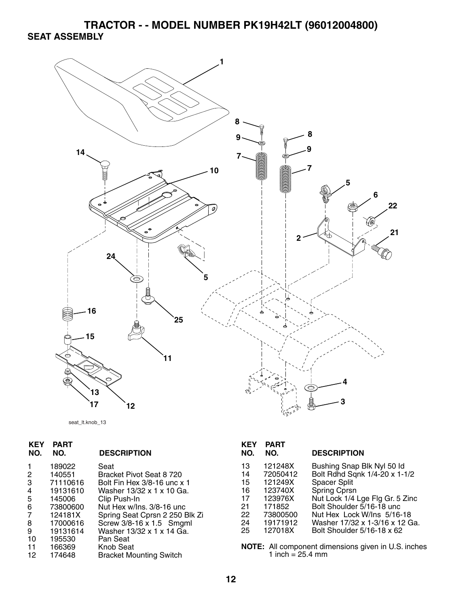**TRACTOR - - MODEL NUMBER PK19H42LT (96012004800) SEAT ASSEMBLY** 



seat\_lt.knob\_13

| <b>KEY</b><br>NO. | <b>PART</b><br>NO. | <b>DESCRIPTION</b>             | <b>KEY</b><br>NO. | <b>PART</b><br>NO.              | <b>DESCF</b>   |
|-------------------|--------------------|--------------------------------|-------------------|---------------------------------|----------------|
|                   | 189022             | Seat                           | 13                | 121248X                         | <b>Bushin</b>  |
| 2                 | 140551             | Bracket Pivot Seat 8 720       | 14                | 72050412                        | <b>Bolt Rd</b> |
| 3                 | 71110616           | Bolt Fin Hex 3/8-16 unc x 1    | 15                | 121249X                         | Spacer         |
| 4                 | 19131610           | Washer 13/32 x 1 x 10 Ga.      | 16                | 123740X                         | Spring         |
| 5                 | 145006             | Clip Push-In                   | 17                | 123976X                         | Nut Loo        |
| 6                 | 73800600           | Nut Hex w/Ins, 3/8-16 unc      | 21                | 171852                          | <b>Bolt Sh</b> |
| 7                 | 124181X            | Spring Seat Cprsn 2 250 Blk Zi | 22                | 73800500                        | Nut He         |
| 8                 | 17000616           | Screw 3/8-16 x 1.5 Smgml       | 24                | 19171912                        | Washer         |
| 9                 | 19131614           | Washer 13/32 x 1 x 14 Ga.      | 25                | 127018X                         | <b>Bolt Sh</b> |
| 10                | 195530             | Pan Seat                       |                   |                                 |                |
| 11                | 166369             | <b>Knob Seat</b>               |                   | <b>NOTE:</b> All component dime |                |
| 12                | 174648             | <b>Bracket Mounting Switch</b> |                   | 1 inch = $25.4 \text{ mm}$      |                |
|                   |                    |                                |                   |                                 |                |

| <b>KEY</b><br>NO. | <b>PART</b><br>NO. | <b>DESCRIPTION</b>              |
|-------------------|--------------------|---------------------------------|
| 13                | 121248X            | Bushing Snap Blk Nyl 50 ld      |
| 14                | 72050412           | Bolt Rdhd Sqnk 1/4-20 x 1-1/2   |
| 15                | 121249X            | <b>Spacer Split</b>             |
| 16                | 123740X            | Spring Cprsn                    |
| 17                | 123976X            | Nut Lock 1/4 Lge Flg Gr. 5 Zinc |
| 21                | 171852             | Bolt Shoulder 5/16-18 unc       |
| 22                | 73800500           | Nut Hex Lock W/Ins 5/16-18      |
| 24                | 19171912           | Washer 17/32 x 1-3/16 x 12 Ga.  |
| 25                | 127018X            | Bolt Shoulder 5/16-18 x 62      |

**nsions given in U.S. inches**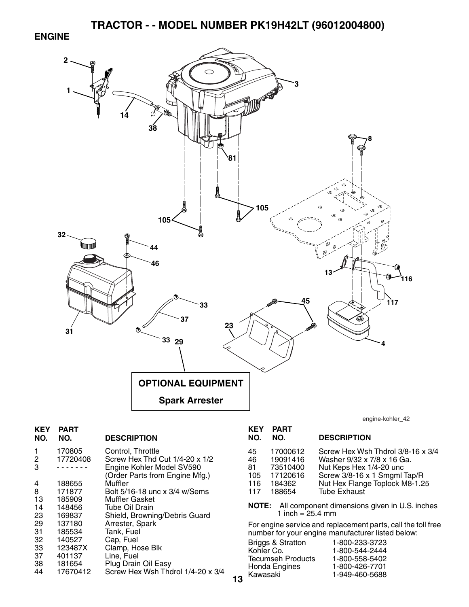#### **ENGINE**



**13**

| KEY<br>NO. | PART<br>NO.        | <b>DESCRIPTION</b>                                          |
|------------|--------------------|-------------------------------------------------------------|
| 1<br>2     | 170805<br>17720408 | Control, Throttle<br>Screw Hex Thd Cut 1/4-20 x 1/2         |
| 3          |                    | Engine Kohler Model SV590<br>(Order Parts from Engine Mfg.) |
| 4          | 188655             | Muffler                                                     |
| 8          | 171877             | Bolt 5/16-18 unc x 3/4 w/Sems                               |
| 13         | 185909             | Muffler Gasket                                              |
| 14         | 148456             | Tube Oil Drain                                              |
| 23         | 169837             | Shield, Browning/Debris Guard                               |
| 29         | 137180             | Arrester, Spark                                             |
| 31         | 185534             | Tank, Fuel                                                  |
| 32         | 140527             | Cap, Fuel                                                   |
| 33         | 123487X            | Clamp, Hose Blk                                             |
| 37         | 401137             | Line, Fuel                                                  |
| 38         | 181654             | Plug Drain Oil Easy                                         |
| 44         | 17670412           | Screw Hex Wsh Thdrol 1/4-20 x 3/4                           |
|            |                    |                                                             |

engine-kohler\_42

| <b>KEY</b><br>NO.                   | <b>PART</b><br>NO.                                               | <b>DESCRIPTION</b>                                                                                                                                                                  |
|-------------------------------------|------------------------------------------------------------------|-------------------------------------------------------------------------------------------------------------------------------------------------------------------------------------|
| 45<br>46<br>81<br>105<br>116<br>117 | 17000612<br>19091416<br>73510400<br>17120616<br>184362<br>188654 | Screw Hex Wsh Thdrol 3/8-16 x 3/4<br>Washer 9/32 x 7/8 x 16 Ga.<br>Nut Keps Hex 1/4-20 unc<br>Screw 3/8-16 x 1 Smgml Tap/R<br>Nut Hex Flange Toplock M8-1.25<br><b>Tube Exhaust</b> |
|                                     |                                                                  |                                                                                                                                                                                     |

**NOTE:** All component dimensions given in U.S. inches 1 inch = 25.4 mm

For engine service and replacement parts, call the toll free number for your engine manufacturer listed below:

| <b>Briggs &amp; Stratton</b> | 1-800-233-3723 |
|------------------------------|----------------|
| Kohler Co.                   | 1-800-544-2444 |
| <b>Tecumseh Products</b>     | 1-800-558-5402 |
| Honda Engines                | 1-800-426-7701 |
| Kawasaki                     | 1-949-460-5688 |
|                              |                |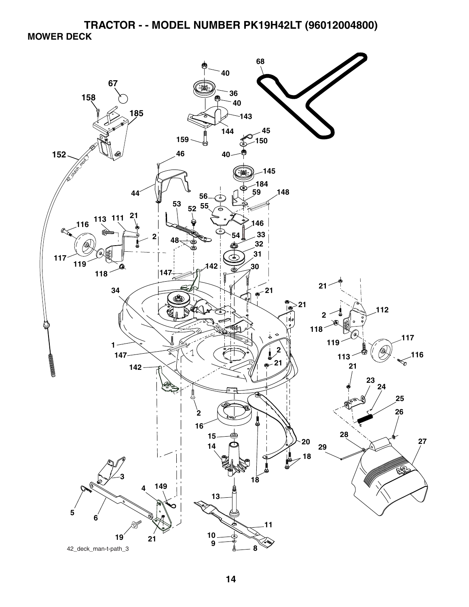**TRACTOR - - MODEL NUMBER PK19H42LT (96012004800) MOWER DECK** 

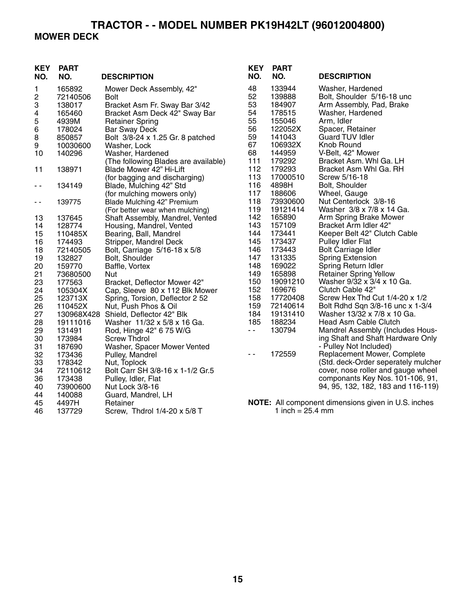#### **TRACTOR - - MODEL NUMBER PK19H42LT (96012004800) MOWER DECK**

#### **KEY PART NO. NO. DESCRIPTION KEY PART NO. NO. DESCRIPTION** 1 165892 Mower Deck Assembly, 42" 2 72140506 Bolt 3 138017 Bracket Asm Fr. Sway Bar 3/42 4 165460 Bracket Asm Deck 42" Sway Bar Retainer Spring 6 178024 Bar Sway Deck 8 850857 Bolt 3/8-24 x 1.25 Gr. 8 patched 9 10030600 Washer, Lock 10 140296 Washer, Hardened (The following Blades are available)<br>138971 Blade Mower 42" Hi-Lift 11 138971 Blade Mower 42" Hi-Lift (for bagging and discharging) - - 134149 Blade, Mulching 42" Std (for mulching mowers only) - - 139775 Blade Mulching 42" Premium (For better wear when mulching) 13 137645 Shaft Assembly, Mandrel, Vented 14 128774 Housing, Mandrel, Vented 15 110485X Bearing, Ball, Mandrel 16 174493 Stripper, Mandrel Deck 18 72140505 Bolt, Carriage 5/16-18 x 5/8 19 132827 Bolt, Shoulder<br>20 159770 Baffle, Vortex 20 159770 Baffle, Vortex<br>21 73680500 Nut 21 73680500 Nut 23 177563 Bracket, Deflector Mower 42"<br>24 105304X Cap, Sleeve 80 x 112 Blk Mo 24 105304X Cap, Sleeve 80 x 112 Blk Mower<br>25 123713X Spring, Torsion, Deflector 2 52 25 123713X Spring, Torsion, Deflector 2 52<br>26 110452X Nut, Push Phos & Oil 26 110452X Nut, Push Phos & Oil 27 130968X428 Shield, Deflector 42" Blk<br>28 19111016 Washer 11/32 x 5/8 x 16 28 19111016 Washer 11/32 x 5/8 x 16 Ga. 29 131491 Rod, Hinge 42" 6 75 W/G 30 173984 Screw Thdrol 31 187690 Washer, Spacer Mower Vented 32 173436 Pulley, Mandrel 33 178342 Nut, Toplock 34 72110612 Bolt Carr SH 3/8-16 x 1-1/2 Gr.5 36 173438 Pulley, Idler, Flat Nut Lock 3/8-16 44 140088 Guard, Mandrel, LH 45 4497H Retainer 46 137729 Screw, Thdrol 1/4-20 x 5/8 T 48 133944 Washer, Hardened 52 139888 Bolt, Shoulder 5/16-18 unc 53 184907 Arm Assembly, Pad, Brake<br>54 178515 Washer, Hardened 178515 Washer, Hardened 55 155046 Arm, Idler 56 122052X Spacer, Retainer 141043 Guard TUV Idler 67 106932X Knob Round 68 144959 V-Belt, 42" Mower 111 179292 Bracket Asm. Whl Ga. LH 112 179293 Bracket Asm Whl Ga. RH 113 17000510 Screw 5/16-18 116 4898H Bolt, Shoulder 117 188606 Wheel, Gauge<br>118 73930600 Nut Centerlock Nut Centerlock 3/8-16 119 19121414 Washer 3/8 x 7/8 x 14 Ga. 142 165890 Arm Spring Brake Mower<br>143 157109 Bracket Arm Idler 42" 143 157109 Bracket Arm Idler 42" 144 173441 Keeper Belt 42" Clutch Cable<br>145 173437 Pullev Idler Flat 145 173437 Pulley Idler Flat 146 173443 Bolt Carriage Idler<br>147 131335 Spring Extension 147 131335 Spring Extension<br>148 169022 Spring Return Idle 148 169022 Spring Return Idler 149 165898 Retainer Spring Yellow 150 19091210 Washer 9/32 x 3/4 x 10 Ga.<br>152 169676 Clutch Cable 42" Clutch Cable 42" 158 17720408 Screw Hex Thd Cut 1/4-20 x 1/2 159 72140614 Bolt Rdhd Sqn 3/8-16 unc x 1-3/4 184 19131410 Washer 13/32 x 7/8 x 10 Ga. 185 188234 Head Asm Cable Clutch - 130794 Mandrel Assembly (Includes Housing Shaft and Shaft Hardware Only - Pulley Not Included) - - 172559 Replacement Mower, Complete (Std. deck-Order seperately mulcher cover, nose roller and gauge wheel componants Key Nos. 101-106, 91, 94, 95, 132, 182, 183 and 116-119) **NOTE:** All component dimensions given in U.S. inches 1 inch =  $25.4 \, \text{mm}$